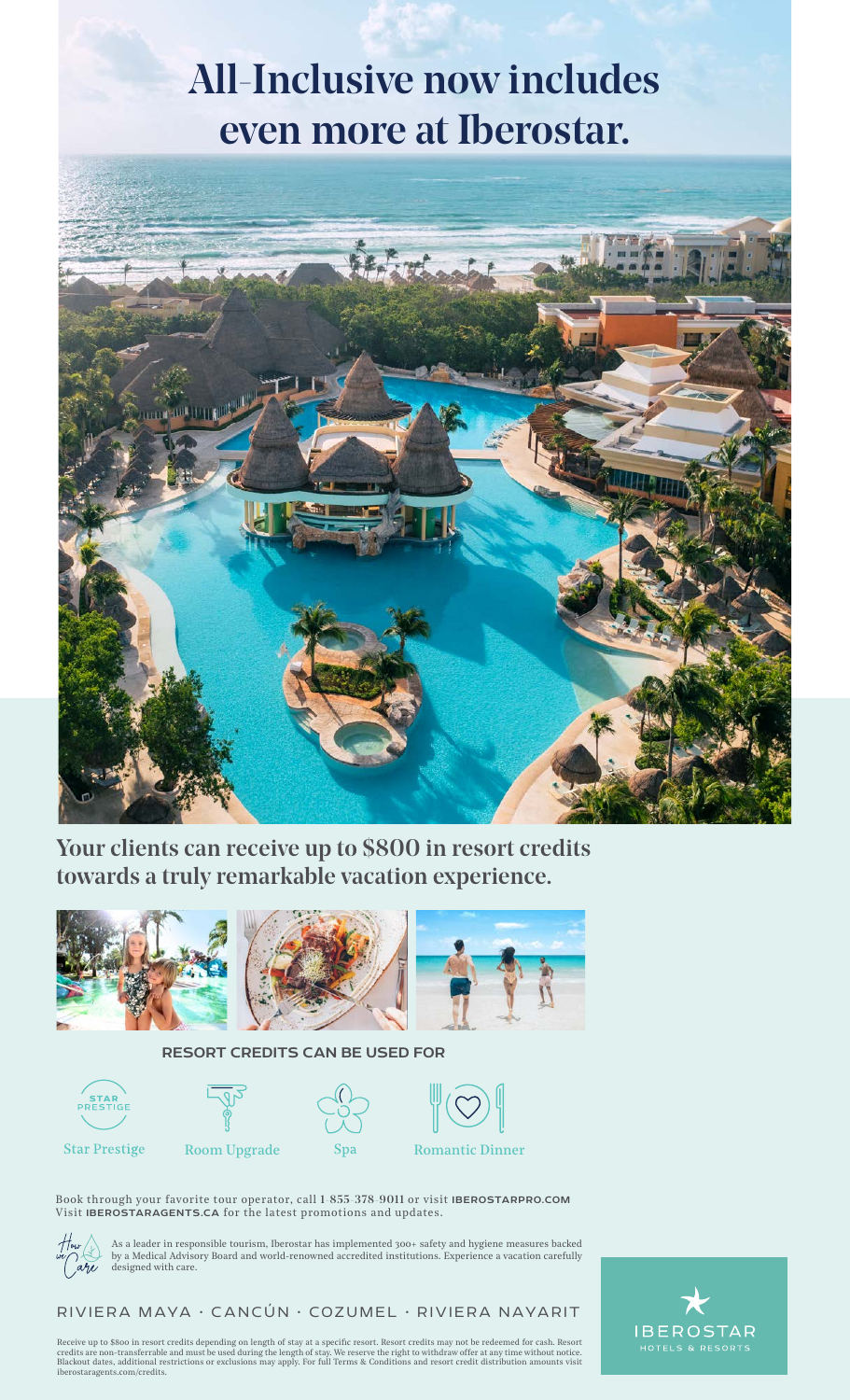## All-Inclusive now includes even more at Iberostar.



Your clients can receive up to \$800 in resort credits towards a truly remarkable vacation experience.



## RESORT CREDITS CAN BE USED FOR





**Star Prestige** 



Room Upgrade Spa Romantic Dinner

Book through your favorite tour operator, call 1-855-378-9011 or visit IBEROSTARPRO.COM Visit IBEROSTARAGENTS.CA for the latest promotions and updates.



As a leader in responsible tourism, Iberostar has implemented 300+ safety and hygiene measures backed by a Medical Advisory Board and world-renowned accredited institutions. Experience a vacation carefully designed with care.

## RIVIERA MAYA • CANCÚN • COZUMEL • RIVIERA NAYARIT

Receive up to \$800 in resort credits depending on length of stay at a specific resort. Resort credits may not be redeemed for cash. Resort<br>credits are non-transferrable and must be used during the length of stay. We reserv